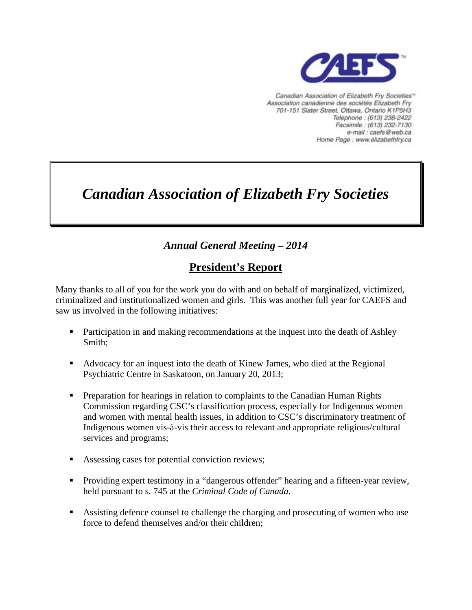

Canadian Association of Elizabeth Fry Societies<sup>16</sup> Association canadienne des sociétés Elizabeth Fry 701-151 Slater Street, Ottawa, Ontario K1P5H3 Telephone: (613) 238-2422 Facsimile: (613) 232-7130 e-mail : caefs@web.ca Home Page : www.elizabethfry.ca

# *Canadian Association of Elizabeth Fry Societies*

### *Annual General Meeting – 2014*

## **President's Report**

Many thanks to all of you for the work you do with and on behalf of marginalized, victimized, criminalized and institutionalized women and girls. This was another full year for CAEFS and saw us involved in the following initiatives:

- **Participation in and making recommendations at the inquest into the death of Ashley** Smith;
- Advocacy for an inquest into the death of Kinew James, who died at the Regional Psychiatric Centre in Saskatoon, on January 20, 2013;
- **Preparation for hearings in relation to complaints to the Canadian Human Rights** Commission regarding CSC's classification process, especially for Indigenous women and women with mental health issues, in addition to CSC's discriminatory treatment of Indigenous women vis-à-vis their access to relevant and appropriate religious/cultural services and programs;
- Assessing cases for potential conviction reviews;
- **Providing expert testimony in a "dangerous offender" hearing and a fifteen-year review,** held pursuant to s. 745 at the *Criminal Code of Canada*.
- Assisting defence counsel to challenge the charging and prosecuting of women who use force to defend themselves and/or their children;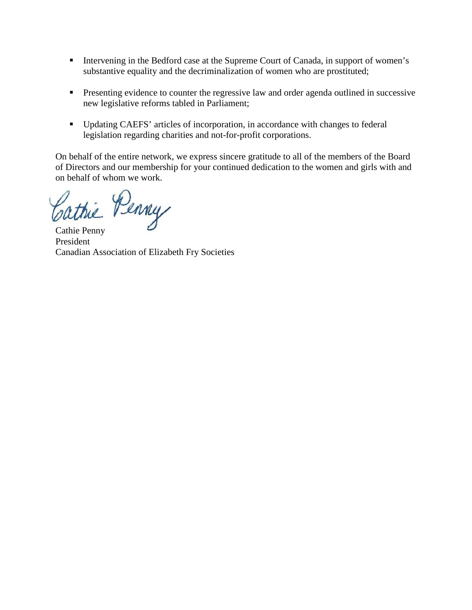- Intervening in the Bedford case at the Supreme Court of Canada, in support of women's substantive equality and the decriminalization of women who are prostituted;
- **Presenting evidence to counter the regressive law and order agenda outlined in successive** new legislative reforms tabled in Parliament;
- Updating CAEFS' articles of incorporation, in accordance with changes to federal legislation regarding charities and not-for-profit corporations.

On behalf of the entire network, we express sincere gratitude to all of the members of the Board of Directors and our membership for your continued dedication to the women and girls with and on behalf of whom we work.

Cathie Penny

President Canadian Association of Elizabeth Fry Societies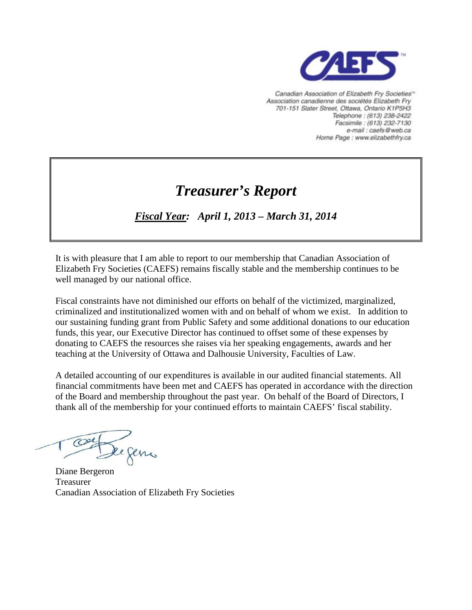

Canadian Association of Elizabeth Fry Societies<sup>16</sup> Association canadienne des sociétés Elizabeth Fry 701-151 Slater Street, Ottawa, Ontario K1P5H3 Telephone: (613) 238-2422 Facsimile: (613) 232-7130 e-mail : caefs@web.ca Home Page : www.elizabethfry.ca

# *Treasurer's Report*

## *Fiscal Year: April 1, 2013 – March 31, 2014*

It is with pleasure that I am able to report to our membership that Canadian Association of Elizabeth Fry Societies (CAEFS) remains fiscally stable and the membership continues to be well managed by our national office.

Fiscal constraints have not diminished our efforts on behalf of the victimized, marginalized, criminalized and institutionalized women with and on behalf of whom we exist. In addition to our sustaining funding grant from Public Safety and some additional donations to our education funds, this year, our Executive Director has continued to offset some of these expenses by donating to CAEFS the resources she raises via her speaking engagements, awards and her teaching at the University of Ottawa and Dalhousie University, Faculties of Law.

A detailed accounting of our expenditures is available in our audited financial statements. All financial commitments have been met and CAEFS has operated in accordance with the direction of the Board and membership throughout the past year. On behalf of the Board of Directors, I thank all of the membership for your continued efforts to maintain CAEFS' fiscal stability.

De gens

Diane Bergeron Treasurer Canadian Association of Elizabeth Fry Societies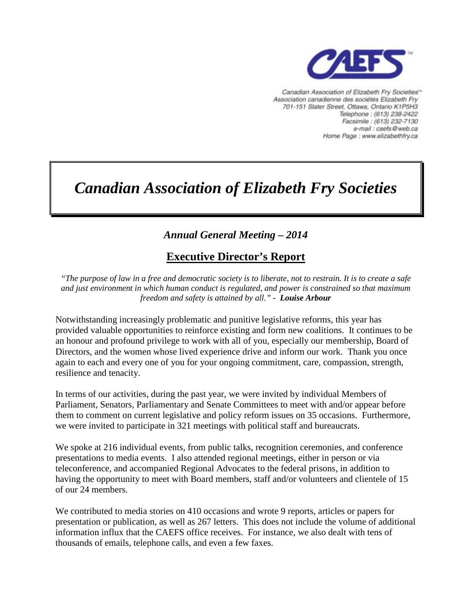

Canadian Association of Elizabeth Fry Societies" Association canadienne des sociétés Elizabeth Fry 701-151 Slater Street, Ottawa, Ontario K1P5H3 Telephone: (613) 238-2422 Facsimile : (613) 232-7130 e-mail : caefs@web.ca Home Page : www.elizabethfry.ca

# *Canadian Association of Elizabeth Fry Societies*

## *Annual General Meeting – 2014*

### **Executive Director's Report**

*"The purpose of law in a free and democratic society is to liberate, not to restrain. It is to create a safe and just environment in which human conduct is regulated, and power is constrained so that maximum freedom and safety is attained by all." - Louise Arbour*

Notwithstanding increasingly problematic and punitive legislative reforms, this year has provided valuable opportunities to reinforce existing and form new coalitions. It continues to be an honour and profound privilege to work with all of you, especially our membership, Board of Directors, and the women whose lived experience drive and inform our work. Thank you once again to each and every one of you for your ongoing commitment, care, compassion, strength, resilience and tenacity.

In terms of our activities, during the past year, we were invited by individual Members of Parliament, Senators, Parliamentary and Senate Committees to meet with and/or appear before them to comment on current legislative and policy reform issues on 35 occasions. Furthermore, we were invited to participate in 321 meetings with political staff and bureaucrats.

We spoke at 216 individual events, from public talks, recognition ceremonies, and conference presentations to media events. I also attended regional meetings, either in person or via teleconference, and accompanied Regional Advocates to the federal prisons, in addition to having the opportunity to meet with Board members, staff and/or volunteers and clientele of 15 of our 24 members.

We contributed to media stories on 410 occasions and wrote 9 reports, articles or papers for presentation or publication, as well as 267 letters. This does not include the volume of additional information influx that the CAEFS office receives. For instance, we also dealt with tens of thousands of emails, telephone calls, and even a few faxes.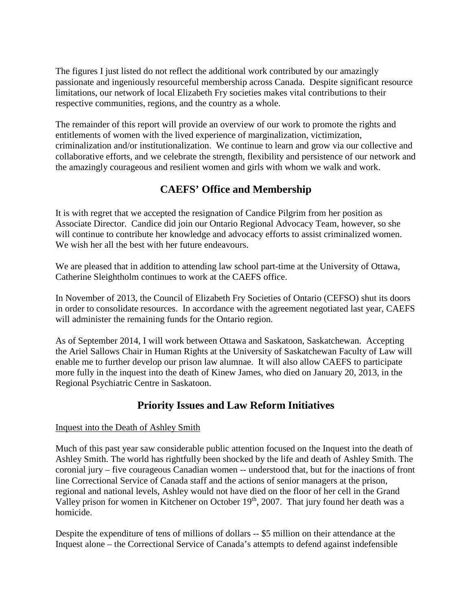The figures I just listed do not reflect the additional work contributed by our amazingly passionate and ingeniously resourceful membership across Canada. Despite significant resource limitations, our network of local Elizabeth Fry societies makes vital contributions to their respective communities, regions, and the country as a whole.

The remainder of this report will provide an overview of our work to promote the rights and entitlements of women with the lived experience of marginalization, victimization, criminalization and/or institutionalization. We continue to learn and grow via our collective and collaborative efforts, and we celebrate the strength, flexibility and persistence of our network and the amazingly courageous and resilient women and girls with whom we walk and work.

### **CAEFS' Office and Membership**

It is with regret that we accepted the resignation of Candice Pilgrim from her position as Associate Director. Candice did join our Ontario Regional Advocacy Team, however, so she will continue to contribute her knowledge and advocacy efforts to assist criminalized women. We wish her all the best with her future endeavours.

We are pleased that in addition to attending law school part-time at the University of Ottawa, Catherine Sleightholm continues to work at the CAEFS office.

In November of 2013, the Council of Elizabeth Fry Societies of Ontario (CEFSO) shut its doors in order to consolidate resources. In accordance with the agreement negotiated last year, CAEFS will administer the remaining funds for the Ontario region.

As of September 2014, I will work between Ottawa and Saskatoon, Saskatchewan. Accepting the Ariel Sallows Chair in Human Rights at the University of Saskatchewan Faculty of Law will enable me to further develop our prison law alumnae. It will also allow CAEFS to participate more fully in the inquest into the death of Kinew James, who died on January 20, 2013, in the Regional Psychiatric Centre in Saskatoon.

### **Priority Issues and Law Reform Initiatives**

#### Inquest into the Death of Ashley Smith

Much of this past year saw considerable public attention focused on the Inquest into the death of Ashley Smith. The world has rightfully been shocked by the life and death of Ashley Smith. The coronial jury – five courageous Canadian women -- understood that, but for the inactions of front line Correctional Service of Canada staff and the actions of senior managers at the prison, regional and national levels, Ashley would not have died on the floor of her cell in the Grand Valley prison for women in Kitchener on October 19<sup>th</sup>, 2007. That jury found her death was a homicide.

Despite the expenditure of tens of millions of dollars -- \$5 million on their attendance at the Inquest alone – the Correctional Service of Canada's attempts to defend against indefensible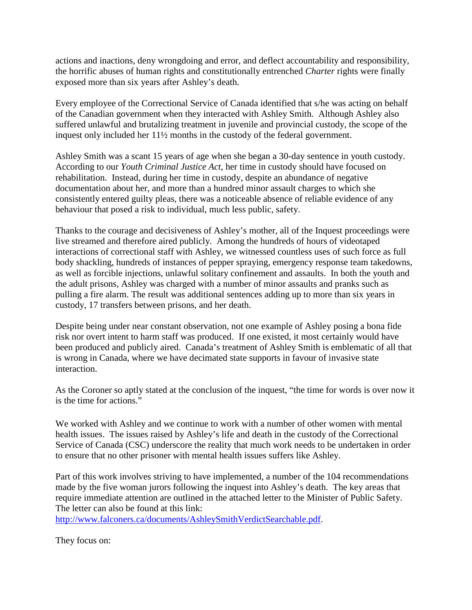actions and inactions, deny wrongdoing and error, and deflect accountability and responsibility, the horrific abuses of human rights and constitutionally entrenched *Charter* rights were finally exposed more than six years after Ashley's death.

Every employee of the Correctional Service of Canada identified that s/he was acting on behalf of the Canadian government when they interacted with Ashley Smith. Although Ashley also suffered unlawful and brutalizing treatment in juvenile and provincial custody, the scope of the inquest only included her 11½ months in the custody of the federal government.

Ashley Smith was a scant 15 years of age when she began a 30-day sentence in youth custody. According to our *Youth Criminal Justice Act,* her time in custody should have focused on rehabilitation. Instead, during her time in custody, despite an abundance of negative documentation about her, and more than a hundred minor assault charges to which she consistently entered guilty pleas, there was a noticeable absence of reliable evidence of any behaviour that posed a risk to individual, much less public, safety.

Thanks to the courage and decisiveness of Ashley's mother, all of the Inquest proceedings were live streamed and therefore aired publicly. Among the hundreds of hours of videotaped interactions of correctional staff with Ashley, we witnessed countless uses of such force as full body shackling, hundreds of instances of pepper spraying, emergency response team takedowns, as well as forcible injections, unlawful solitary confinement and assaults. In both the youth and the adult prisons, Ashley was charged with a number of minor assaults and pranks such as pulling a fire alarm. The result was additional sentences adding up to more than six years in custody, 17 transfers between prisons, and her death.

Despite being under near constant observation, not one example of Ashley posing a bona fide risk nor overt intent to harm staff was produced. If one existed, it most certainly would have been produced and publicly aired. Canada's treatment of Ashley Smith is emblematic of all that is wrong in Canada, where we have decimated state supports in favour of invasive state interaction.

As the Coroner so aptly stated at the conclusion of the inquest, "the time for words is over now it is the time for actions."

We worked with Ashley and we continue to work with a number of other women with mental health issues. The issues raised by Ashley's life and death in the custody of the Correctional Service of Canada (CSC) underscore the reality that much work needs to be undertaken in order to ensure that no other prisoner with mental health issues suffers like Ashley.

Part of this work involves striving to have implemented, a number of the 104 recommendations made by the five woman jurors following the inquest into Ashley's death. The key areas that require immediate attention are outlined in the attached letter to the Minister of Public Safety. The letter can also be found at this link:

[http://www.falconers.ca/documents/AshleySmithVerdictSearchable.pdf.](http://www.falconers.ca/documents/AshleySmithVerdictSearchable.pdf)

They focus on: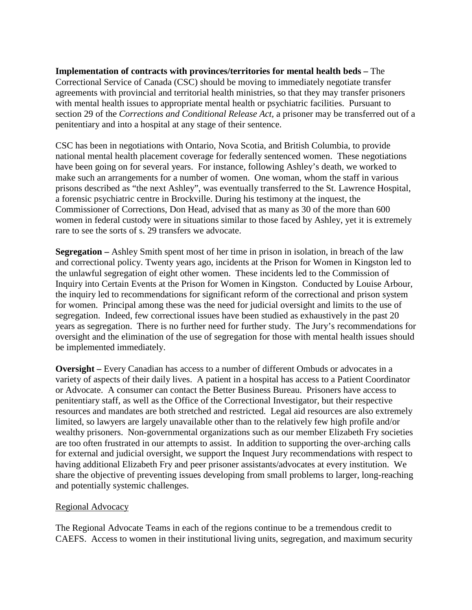**Implementation of contracts with provinces/territories for mental health beds –** The Correctional Service of Canada (CSC) should be moving to immediately negotiate transfer agreements with provincial and territorial health ministries, so that they may transfer prisoners with mental health issues to appropriate mental health or psychiatric facilities. Pursuant to section 29 of the *Corrections and Conditional Release Act,* a prisoner may be transferred out of a penitentiary and into a hospital at any stage of their sentence.

CSC has been in negotiations with Ontario, Nova Scotia, and British Columbia, to provide national mental health placement coverage for federally sentenced women. These negotiations have been going on for several years. For instance, following Ashley's death, we worked to make such an arrangements for a number of women. One woman, whom the staff in various prisons described as "the next Ashley", was eventually transferred to the St. Lawrence Hospital, a forensic psychiatric centre in Brockville. During his testimony at the inquest, the Commissioner of Corrections, Don Head, advised that as many as 30 of the more than 600 women in federal custody were in situations similar to those faced by Ashley, yet it is extremely rare to see the sorts of s. 29 transfers we advocate.

**Segregation –** Ashley Smith spent most of her time in prison in isolation, in breach of the law and correctional policy. Twenty years ago, incidents at the Prison for Women in Kingston led to the unlawful segregation of eight other women. These incidents led to the Commission of Inquiry into Certain Events at the Prison for Women in Kingston. Conducted by Louise Arbour, the inquiry led to recommendations for significant reform of the correctional and prison system for women. Principal among these was the need for judicial oversight and limits to the use of segregation. Indeed, few correctional issues have been studied as exhaustively in the past 20 years as segregation. There is no further need for further study. The Jury's recommendations for oversight and the elimination of the use of segregation for those with mental health issues should be implemented immediately.

**Oversight –** Every Canadian has access to a number of different Ombuds or advocates in a variety of aspects of their daily lives. A patient in a hospital has access to a Patient Coordinator or Advocate. A consumer can contact the Better Business Bureau. Prisoners have access to penitentiary staff, as well as the Office of the Correctional Investigator, but their respective resources and mandates are both stretched and restricted. Legal aid resources are also extremely limited, so lawyers are largely unavailable other than to the relatively few high profile and/or wealthy prisoners. Non-governmental organizations such as our member Elizabeth Fry societies are too often frustrated in our attempts to assist. In addition to supporting the over-arching calls for external and judicial oversight, we support the Inquest Jury recommendations with respect to having additional Elizabeth Fry and peer prisoner assistants/advocates at every institution. We share the objective of preventing issues developing from small problems to larger, long-reaching and potentially systemic challenges.

#### Regional Advocacy

The Regional Advocate Teams in each of the regions continue to be a tremendous credit to CAEFS. Access to women in their institutional living units, segregation, and maximum security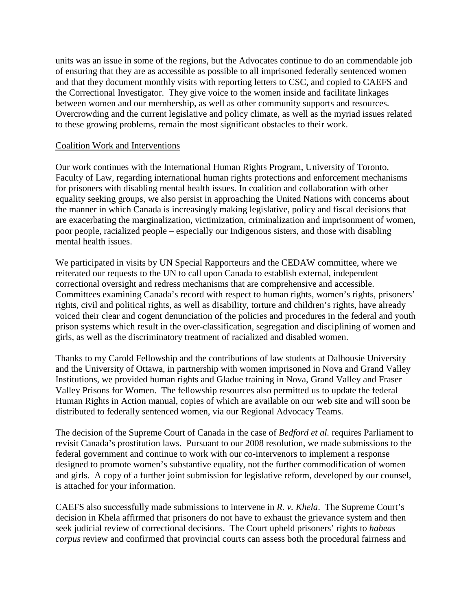units was an issue in some of the regions, but the Advocates continue to do an commendable job of ensuring that they are as accessible as possible to all imprisoned federally sentenced women and that they document monthly visits with reporting letters to CSC, and copied to CAEFS and the Correctional Investigator. They give voice to the women inside and facilitate linkages between women and our membership, as well as other community supports and resources. Overcrowding and the current legislative and policy climate, as well as the myriad issues related to these growing problems, remain the most significant obstacles to their work.

#### Coalition Work and Interventions

Our work continues with the International Human Rights Program, University of Toronto, Faculty of Law, regarding international human rights protections and enforcement mechanisms for prisoners with disabling mental health issues. In coalition and collaboration with other equality seeking groups, we also persist in approaching the United Nations with concerns about the manner in which Canada is increasingly making legislative, policy and fiscal decisions that are exacerbating the marginalization, victimization, criminalization and imprisonment of women, poor people, racialized people – especially our Indigenous sisters, and those with disabling mental health issues.

We participated in visits by UN Special Rapporteurs and the CEDAW committee, where we reiterated our requests to the UN to call upon Canada to establish external, independent correctional oversight and redress mechanisms that are comprehensive and accessible. Committees examining Canada's record with respect to human rights, women's rights, prisoners' rights, civil and political rights, as well as disability, torture and children's rights, have already voiced their clear and cogent denunciation of the policies and procedures in the federal and youth prison systems which result in the over-classification, segregation and disciplining of women and girls, as well as the discriminatory treatment of racialized and disabled women.

Thanks to my Carold Fellowship and the contributions of law students at Dalhousie University and the University of Ottawa, in partnership with women imprisoned in Nova and Grand Valley Institutions, we provided human rights and Gladue training in Nova, Grand Valley and Fraser Valley Prisons for Women. The fellowship resources also permitted us to update the federal Human Rights in Action manual, copies of which are available on our web site and will soon be distributed to federally sentenced women, via our Regional Advocacy Teams.

The decision of the Supreme Court of Canada in the case of *Bedford et al.* requires Parliament to revisit Canada's prostitution laws. Pursuant to our 2008 resolution, we made submissions to the federal government and continue to work with our co-intervenors to implement a response designed to promote women's substantive equality, not the further commodification of women and girls. A copy of a further joint submission for legislative reform, developed by our counsel, is attached for your information.

CAEFS also successfully made submissions to intervene in *R. v. Khela*. The Supreme Court's decision in Khela affirmed that prisoners do not have to exhaust the grievance system and then seek judicial review of correctional decisions. The Court upheld prisoners' rights to *habeas corpus* review and confirmed that provincial courts can assess both the procedural fairness and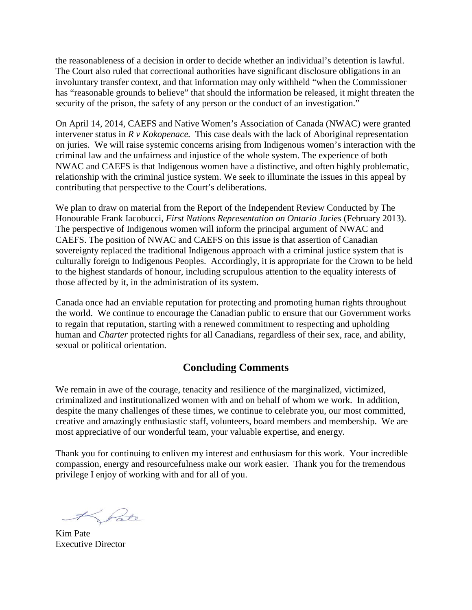the reasonableness of a decision in order to decide whether an individual's detention is lawful. The Court also ruled that correctional authorities have significant disclosure obligations in an involuntary transfer context, and that information may only withheld "when the Commissioner has "reasonable grounds to believe" that should the information be released, it might threaten the security of the prison, the safety of any person or the conduct of an investigation."

On April 14, 2014, CAEFS and Native Women's Association of Canada (NWAC) were granted intervener status in *R v Kokopenace.* This case deals with the lack of Aboriginal representation on juries. We will raise systemic concerns arising from Indigenous women's interaction with the criminal law and the unfairness and injustice of the whole system. The experience of both NWAC and CAEFS is that Indigenous women have a distinctive, and often highly problematic, relationship with the criminal justice system. We seek to illuminate the issues in this appeal by contributing that perspective to the Court's deliberations.

We plan to draw on material from the Report of the Independent Review Conducted by The Honourable Frank Iacobucci, *First Nations Representation on Ontario Juries* (February 2013). The perspective of Indigenous women will inform the principal argument of NWAC and CAEFS. The position of NWAC and CAEFS on this issue is that assertion of Canadian sovereignty replaced the traditional Indigenous approach with a criminal justice system that is culturally foreign to Indigenous Peoples. Accordingly, it is appropriate for the Crown to be held to the highest standards of honour, including scrupulous attention to the equality interests of those affected by it, in the administration of its system.

Canada once had an enviable reputation for protecting and promoting human rights throughout the world. We continue to encourage the Canadian public to ensure that our Government works to regain that reputation, starting with a renewed commitment to respecting and upholding human and *Charter* protected rights for all Canadians, regardless of their sex, race, and ability, sexual or political orientation.

### **Concluding Comments**

We remain in awe of the courage, tenacity and resilience of the marginalized, victimized, criminalized and institutionalized women with and on behalf of whom we work. In addition, despite the many challenges of these times, we continue to celebrate you, our most committed, creative and amazingly enthusiastic staff, volunteers, board members and membership. We are most appreciative of our wonderful team, your valuable expertise, and energy.

Thank you for continuing to enliven my interest and enthusiasm for this work. Your incredible compassion, energy and resourcefulness make our work easier. Thank you for the tremendous privilege I enjoy of working with and for all of you.

Kim Pate Executive Director